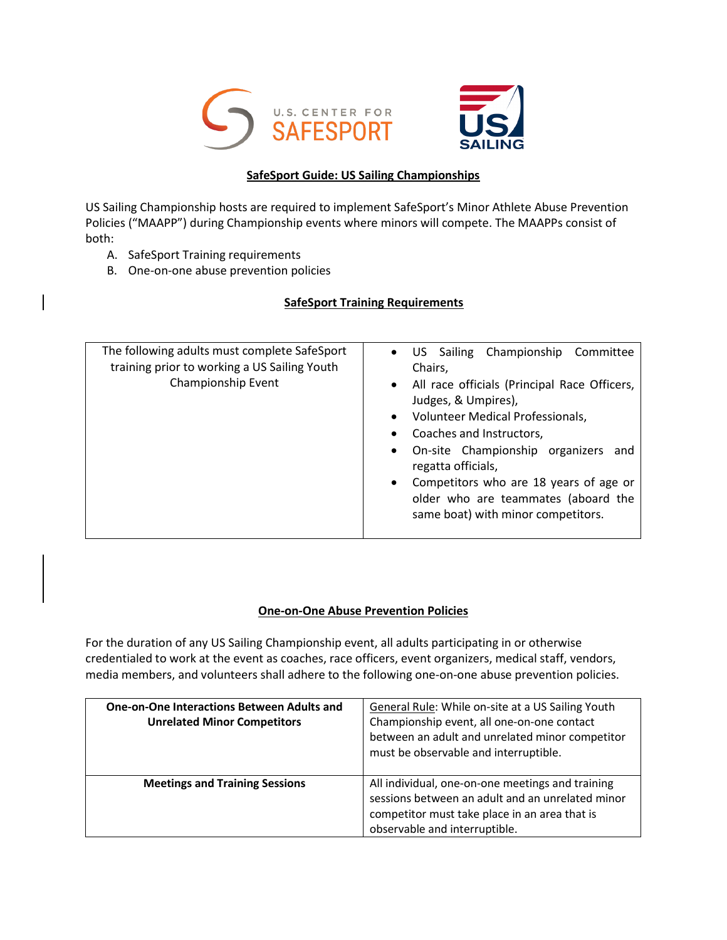



## **SafeSport Guide: US Sailing Championships**

US Sailing Championship hosts are required to implement SafeSport's Minor Athlete Abuse Prevention Policies ("MAAPP") during Championship events where minors will compete. The MAAPPs consist of both:

- A. SafeSport Training requirements
- B. One-on-one abuse prevention policies

## **SafeSport Training Requirements**

| The following adults must complete SafeSport<br>training prior to working a US Sailing Youth<br>Championship Event | US Sailing Championship Committee<br>Chairs.<br>• All race officials (Principal Race Officers,<br>Judges, & Umpires),<br>Volunteer Medical Professionals,<br>Coaches and Instructors,           |
|--------------------------------------------------------------------------------------------------------------------|-------------------------------------------------------------------------------------------------------------------------------------------------------------------------------------------------|
|                                                                                                                    | On-site Championship organizers and<br>$\bullet$<br>regatta officials,<br>• Competitors who are 18 years of age or<br>older who are teammates (aboard the<br>same boat) with minor competitors. |

## **One-on-One Abuse Prevention Policies**

For the duration of any US Sailing Championship event, all adults participating in or otherwise credentialed to work at the event as coaches, race officers, event organizers, medical staff, vendors, media members, and volunteers shall adhere to the following one-on-one abuse prevention policies.

| <b>One-on-One Interactions Between Adults and</b><br><b>Unrelated Minor Competitors</b> | General Rule: While on-site at a US Sailing Youth<br>Championship event, all one-on-one contact<br>between an adult and unrelated minor competitor<br>must be observable and interruptible. |
|-----------------------------------------------------------------------------------------|---------------------------------------------------------------------------------------------------------------------------------------------------------------------------------------------|
| <b>Meetings and Training Sessions</b>                                                   | All individual, one-on-one meetings and training<br>sessions between an adult and an unrelated minor<br>competitor must take place in an area that is<br>observable and interruptible.      |